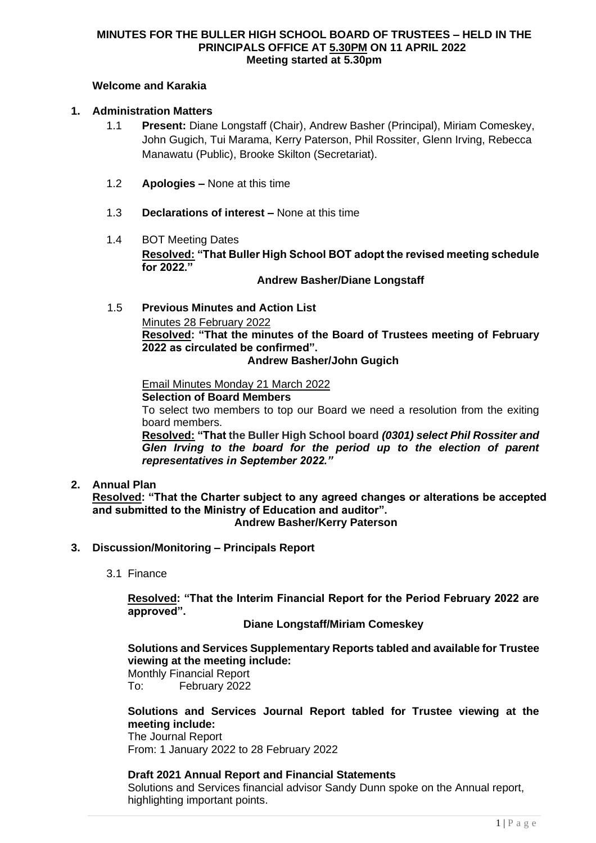### **MINUTES FOR THE BULLER HIGH SCHOOL BOARD OF TRUSTEES – HELD IN THE PRINCIPALS OFFICE AT 5.30PM ON 11 APRIL 2022 Meeting started at 5.30pm**

# **Welcome and Karakia**

# **1. Administration Matters**

- 1.1 **Present:** Diane Longstaff (Chair), Andrew Basher (Principal), Miriam Comeskey, John Gugich, Tui Marama, Kerry Paterson, Phil Rossiter, Glenn Irving, Rebecca Manawatu (Public), Brooke Skilton (Secretariat).
- 1.2 **Apologies –** None at this time
- 1.3 **Declarations of interest –** None at this time
- 1.4 BOT Meeting Dates **Resolved: "That Buller High School BOT adopt the revised meeting schedule for 2022."**

#### **Andrew Basher/Diane Longstaff**

1.5 **Previous Minutes and Action List**

Minutes 28 February 2022

**Resolved: "That the minutes of the Board of Trustees meeting of February 2022 as circulated be confirmed".**

### **Andrew Basher/John Gugich**

Email Minutes Monday 21 March 2022

**Selection of Board Members**

To select two members to top our Board we need a resolution from the exiting board members.

**Resolved: "That the Buller High School board** *(0301) select Phil Rossiter and Glen Irving to the board for the period up to the election of parent representatives in September 2022."*

**2. Annual Plan**

**Resolved: "That the Charter subject to any agreed changes or alterations be accepted and submitted to the Ministry of Education and auditor".**

**Andrew Basher/Kerry Paterson**

- **3. Discussion/Monitoring – Principals Report** 
	- 3.1 Finance

**Resolved: "That the Interim Financial Report for the Period February 2022 are approved".**

**Diane Longstaff/Miriam Comeskey**

**Solutions and Services Supplementary Reports tabled and available for Trustee viewing at the meeting include:**

Monthly Financial Report To: February 2022

# **Solutions and Services Journal Report tabled for Trustee viewing at the meeting include:**

The Journal Report From: 1 January 2022 to 28 February 2022

# **Draft 2021 Annual Report and Financial Statements**

Solutions and Services financial advisor Sandy Dunn spoke on the Annual report, highlighting important points.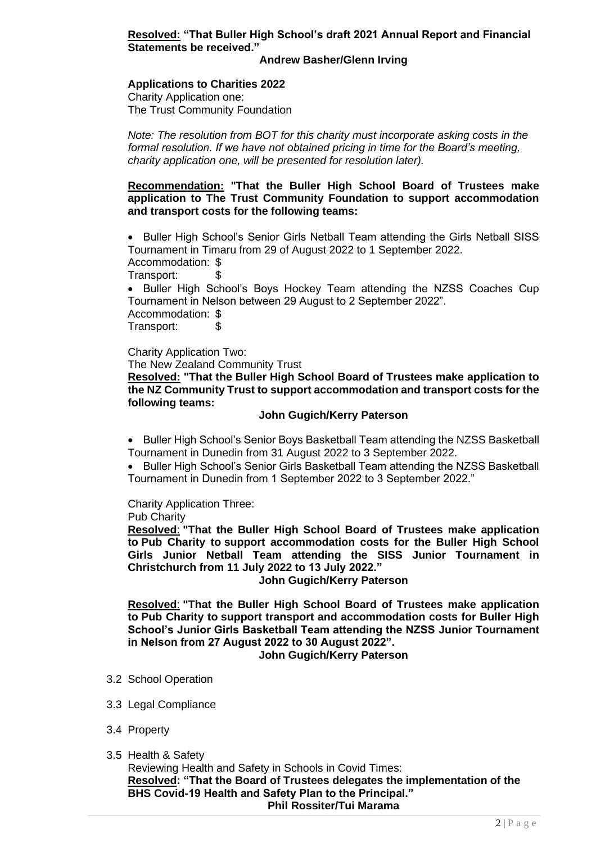## **Resolved: "That Buller High School's draft 2021 Annual Report and Financial Statements be received."**

#### **Andrew Basher/Glenn Irving**

# **Applications to Charities 2022**

Charity Application one: The Trust Community Foundation

*Note: The resolution from BOT for this charity must incorporate asking costs in the formal resolution. If we have not obtained pricing in time for the Board's meeting, charity application one, will be presented for resolution later).* 

#### **Recommendation: "That the Buller High School Board of Trustees make application to The Trust Community Foundation to support accommodation and transport costs for the following teams:**

• Buller High School's Senior Girls Netball Team attending the Girls Netball SISS Tournament in Timaru from 29 of August 2022 to 1 September 2022. Accommodation: \$

Transport:

• Buller High School's Boys Hockey Team attending the NZSS Coaches Cup Tournament in Nelson between 29 August to 2 September 2022". Accommodation: \$ Transport: \$

Charity Application Two:

The New Zealand Community Trust

**Resolved: "That the Buller High School Board of Trustees make application to the NZ Community Trust to support accommodation and transport costs for the following teams:**

#### **John Gugich/Kerry Paterson**

• Buller High School's Senior Boys Basketball Team attending the NZSS Basketball Tournament in Dunedin from 31 August 2022 to 3 September 2022.

• Buller High School's Senior Girls Basketball Team attending the NZSS Basketball Tournament in Dunedin from 1 September 2022 to 3 September 2022."

Charity Application Three:

Pub Charity

**Resolved**: **"That the Buller High School Board of Trustees make application to Pub Charity to support accommodation costs for the Buller High School Girls Junior Netball Team attending the SISS Junior Tournament in Christchurch from 11 July 2022 to 13 July 2022."**

**John Gugich/Kerry Paterson**

**Resolved**: **"That the Buller High School Board of Trustees make application to Pub Charity to support transport and accommodation costs for Buller High School's Junior Girls Basketball Team attending the NZSS Junior Tournament in Nelson from 27 August 2022 to 30 August 2022".**

**John Gugich/Kerry Paterson**

- 3.2 School Operation
- 3.3 Legal Compliance
- 3.4 Property
- 3.5 Health & Safety

Reviewing Health and Safety in Schools in Covid Times: **Resolved: "That the Board of Trustees delegates the implementation of the BHS Covid-19 Health and Safety Plan to the Principal." Phil Rossiter/Tui Marama**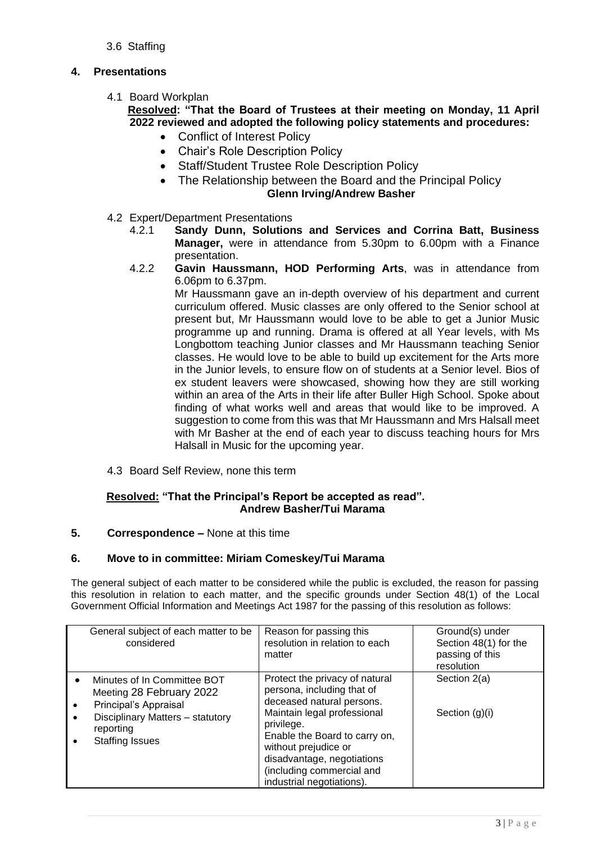# 3.6 Staffing

# **4. Presentations**

4.1 Board Workplan

# **Resolved: "That the Board of Trustees at their meeting on Monday, 11 April 2022 reviewed and adopted the following policy statements and procedures:**

- Conflict of Interest Policy
- Chair's Role Description Policy
- Staff/Student Trustee Role Description Policy
- The Relationship between the Board and the Principal Policy **Glenn Irving/Andrew Basher**
- 4.2 Expert/Department Presentations
	- 4.2.1 **Sandy Dunn, Solutions and Services and Corrina Batt, Business Manager,** were in attendance from 5.30pm to 6.00pm with a Finance presentation.
	- 4.2.2 **Gavin Haussmann, HOD Performing Arts**, was in attendance from 6.06pm to 6.37pm.

Mr Haussmann gave an in-depth overview of his department and current curriculum offered. Music classes are only offered to the Senior school at present but, Mr Haussmann would love to be able to get a Junior Music programme up and running. Drama is offered at all Year levels, with Ms Longbottom teaching Junior classes and Mr Haussmann teaching Senior classes. He would love to be able to build up excitement for the Arts more in the Junior levels, to ensure flow on of students at a Senior level. Bios of ex student leavers were showcased, showing how they are still working within an area of the Arts in their life after Buller High School. Spoke about finding of what works well and areas that would like to be improved. A suggestion to come from this was that Mr Haussmann and Mrs Halsall meet with Mr Basher at the end of each year to discuss teaching hours for Mrs Halsall in Music for the upcoming year.

4.3 Board Self Review, none this term

# **Resolved: "That the Principal's Report be accepted as read". Andrew Basher/Tui Marama**

# **5. Correspondence –** None at this time

# **6. Move to in committee: Miriam Comeskey/Tui Marama**

The general subject of each matter to be considered while the public is excluded, the reason for passing this resolution in relation to each matter, and the specific grounds under Section 48(1) of the Local Government Official Information and Meetings Act 1987 for the passing of this resolution as follows:

| General subject of each matter to be<br>considered                                                                                                                       | Reason for passing this<br>resolution in relation to each<br>matter                                                                                                                                                                                                                     | Ground(s) under<br>Section 48(1) for the<br>passing of this<br>resolution |
|--------------------------------------------------------------------------------------------------------------------------------------------------------------------------|-----------------------------------------------------------------------------------------------------------------------------------------------------------------------------------------------------------------------------------------------------------------------------------------|---------------------------------------------------------------------------|
| Minutes of In Committee BOT<br>$\bullet$<br>Meeting 28 February 2022<br>Principal's Appraisal<br>Disciplinary Matters - statutory<br>reporting<br><b>Staffing Issues</b> | Protect the privacy of natural<br>persona, including that of<br>deceased natural persons.<br>Maintain legal professional<br>privilege.<br>Enable the Board to carry on,<br>without prejudice or<br>disadvantage, negotiations<br>(including commercial and<br>industrial negotiations). | Section 2(a)<br>Section $(g)(i)$                                          |